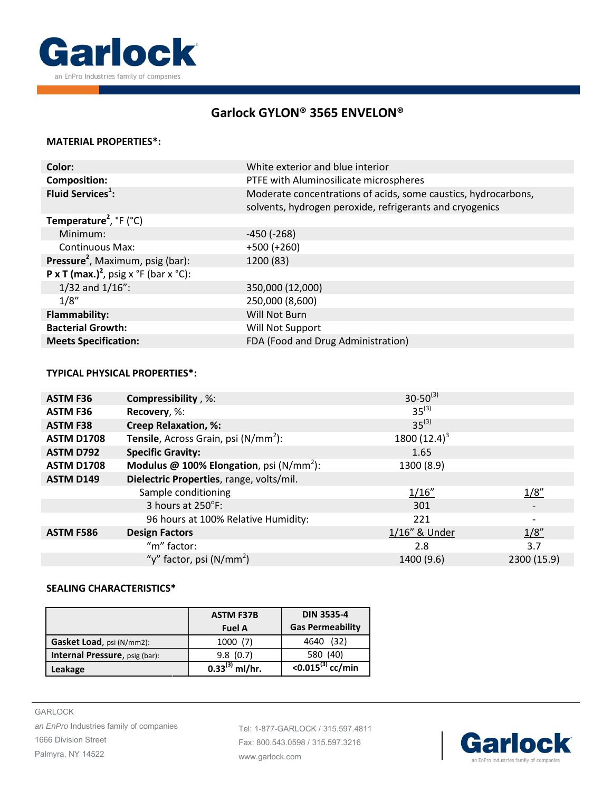

# **Garlock [GYLON® 3565 ENVELON®](http://www.garlock.com/en/products/gylon-style-3565-envelon?utm_source=GarlockGASGylon3565SpecSheetJan2016%20EN-US&utm_medium=pdf&utm_campaign=std)**

#### **MATERIAL PROPERTIES\*:**

| Color:                                                                            | White exterior and blue interior                                                                                           |  |
|-----------------------------------------------------------------------------------|----------------------------------------------------------------------------------------------------------------------------|--|
| <b>Composition:</b>                                                               | PTFE with Aluminosilicate microspheres                                                                                     |  |
| Fluid Services <sup>1</sup> :                                                     | Moderate concentrations of acids, some caustics, hydrocarbons,<br>solvents, hydrogen peroxide, refrigerants and cryogenics |  |
| <b>Temperature<sup>2</sup></b> , ${}^{\circ}$ F ( ${}^{\circ}$ C)                 |                                                                                                                            |  |
| Minimum:                                                                          | $-450$ ( $-268$ )                                                                                                          |  |
| <b>Continuous Max:</b>                                                            | $+500 (+260)$                                                                                                              |  |
| Pressure <sup>2</sup> , Maximum, psig (bar):                                      | 1200 (83)                                                                                                                  |  |
| <b>P</b> x <b>T</b> (max.) <sup>2</sup> , psig x $\degree$ F (bar x $\degree$ C): |                                                                                                                            |  |
| $1/32$ and $1/16$ ":                                                              | 350,000 (12,000)                                                                                                           |  |
| 1/8''                                                                             | 250,000 (8,600)                                                                                                            |  |
| <b>Flammability:</b>                                                              | Will Not Burn                                                                                                              |  |
| <b>Bacterial Growth:</b>                                                          | Will Not Support                                                                                                           |  |
| <b>Meets Specification:</b>                                                       | FDA (Food and Drug Administration)                                                                                         |  |

### **TYPICAL PHYSICAL PROPERTIES\*:**

| <b>ASTM F36</b>   | <b>Compressibility</b> , %:                         | $30 - 50^{(3)}$ |             |
|-------------------|-----------------------------------------------------|-----------------|-------------|
| <b>ASTM F36</b>   | Recovery, %:                                        | $35^{(3)}$      |             |
| <b>ASTM F38</b>   | <b>Creep Relaxation, %:</b>                         | $35^{(3)}$      |             |
| <b>ASTM D1708</b> | <b>Tensile</b> , Across Grain, psi $(N/mm2)$ :      | 1800 $(12.4)^3$ |             |
| <b>ASTM D792</b>  | <b>Specific Gravity:</b>                            | 1.65            |             |
| <b>ASTM D1708</b> | <b>Modulus @ 100% Elongation</b> , psi $(N/mm^2)$ : | 1300 (8.9)      |             |
| <b>ASTM D149</b>  | Dielectric Properties, range, volts/mil.            |                 |             |
|                   | Sample conditioning                                 | 1/16''          | 1/8''       |
|                   | 3 hours at 250°F:                                   | 301             |             |
|                   | 96 hours at 100% Relative Humidity:                 | 221             |             |
| <b>ASTM F586</b>  | <b>Design Factors</b>                               | 1/16" & Under   | 1/8''       |
|                   | "m" factor:                                         | 2.8             | 3.7         |
|                   | "y" factor, psi (N/mm <sup>2</sup> )                | 1400 (9.6)      | 2300 (15.9) |

### **SEALING CHARACTERISTICS\***

|                                | <b>ASTM F37B</b><br><b>Fuel A</b> | <b>DIN 3535-4</b><br><b>Gas Permeability</b> |
|--------------------------------|-----------------------------------|----------------------------------------------|
| Gasket Load, psi (N/mm2):      | 1000(7)                           | (32)<br>4640                                 |
| Internal Pressure, psig (bar): | 9.8(0.7)                          | 580 (40)                                     |
| Leakage                        | $0.33^{(3)}$ ml/hr.               | $<$ 0.015 <sup>(3)</sup> cc/min              |

Tel: 1-877-GARLOCK / 315.597.4811 Fax: 800.543.0598 / 315.597.3216 [www.garlock.com](http://www.garlock.com/en/?utm_source=GarlockGASGylon3565SpecSheetJan2016%20EN-US&utm_medium=pdf&utm_campaign=std)